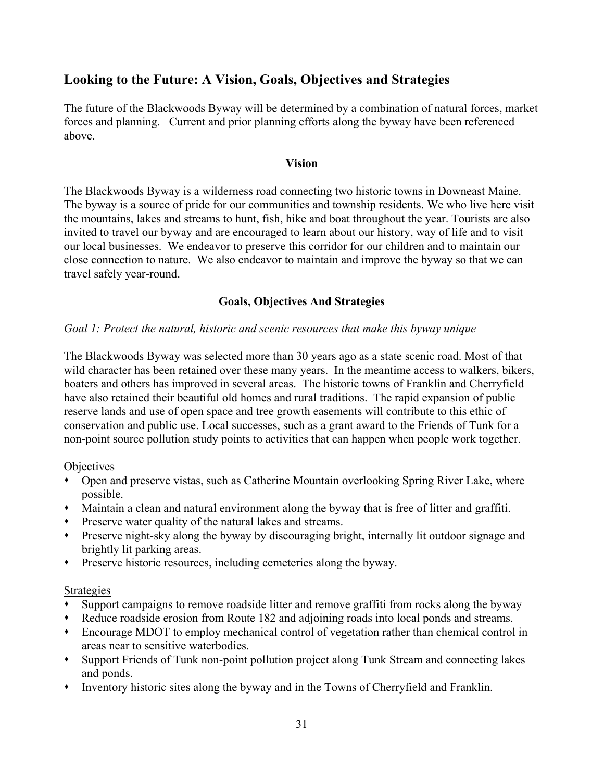# Looking to the Future: A Vision, Goals, Objectives and Strategies

The future of the Blackwoods Byway will be determined by a combination of natural forces, market forces and planning. Current and prior planning efforts along the byway have been referenced above.

#### Vision

The Blackwoods Byway is a wilderness road connecting two historic towns in Downeast Maine. The byway is a source of pride for our communities and township residents. We who live here visit the mountains, lakes and streams to hunt, fish, hike and boat throughout the year. Tourists are also invited to travel our byway and are encouraged to learn about our history, way of life and to visit our local businesses. We endeavor to preserve this corridor for our children and to maintain our close connection to nature. We also endeavor to maintain and improve the byway so that we can travel safely year-round.

### Goals, Objectives And Strategies

#### Goal 1: Protect the natural, historic and scenic resources that make this byway unique

The Blackwoods Byway was selected more than 30 years ago as a state scenic road. Most of that wild character has been retained over these many years. In the meantime access to walkers, bikers, boaters and others has improved in several areas. The historic towns of Franklin and Cherryfield have also retained their beautiful old homes and rural traditions. The rapid expansion of public reserve lands and use of open space and tree growth easements will contribute to this ethic of conservation and public use. Local successes, such as a grant award to the Friends of Tunk for a non-point source pollution study points to activities that can happen when people work together.

#### **Objectives**

- Open and preserve vistas, such as Catherine Mountain overlooking Spring River Lake, where possible.
- Maintain a clean and natural environment along the byway that is free of litter and graffiti.
- Preserve water quality of the natural lakes and streams.
- Preserve night-sky along the byway by discouraging bright, internally lit outdoor signage and brightly lit parking areas.
- Preserve historic resources, including cemeteries along the byway.

#### Strategies

- Support campaigns to remove roadside litter and remove graffiti from rocks along the byway
- Reduce roadside erosion from Route 182 and adjoining roads into local ponds and streams.
- Encourage MDOT to employ mechanical control of vegetation rather than chemical control in areas near to sensitive waterbodies.
- Support Friends of Tunk non-point pollution project along Tunk Stream and connecting lakes and ponds.
- Inventory historic sites along the byway and in the Towns of Cherryfield and Franklin.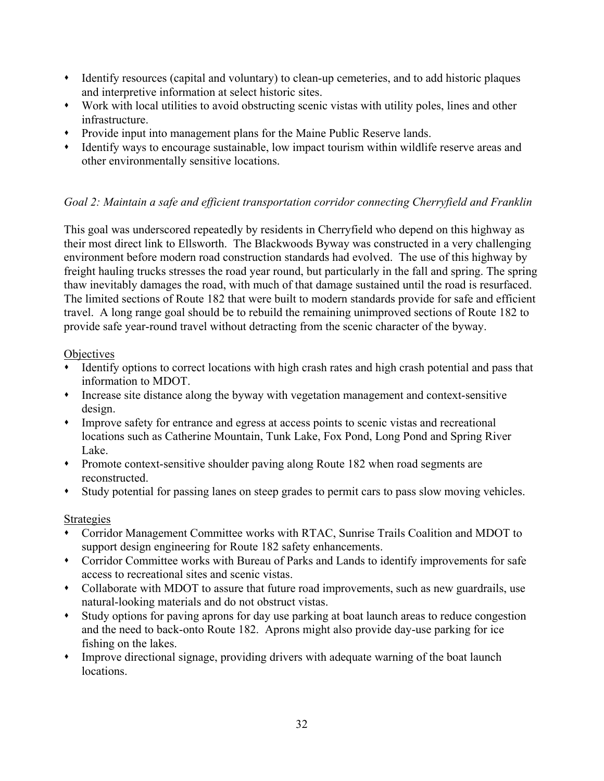- Identify resources (capital and voluntary) to clean-up cemeteries, and to add historic plaques and interpretive information at select historic sites.
- Work with local utilities to avoid obstructing scenic vistas with utility poles, lines and other infrastructure.
- Provide input into management plans for the Maine Public Reserve lands.
- Identify ways to encourage sustainable, low impact tourism within wildlife reserve areas and other environmentally sensitive locations.

# Goal 2: Maintain a safe and efficient transportation corridor connecting Cherryfield and Franklin

This goal was underscored repeatedly by residents in Cherryfield who depend on this highway as their most direct link to Ellsworth. The Blackwoods Byway was constructed in a very challenging environment before modern road construction standards had evolved. The use of this highway by freight hauling trucks stresses the road year round, but particularly in the fall and spring. The spring thaw inevitably damages the road, with much of that damage sustained until the road is resurfaced. The limited sections of Route 182 that were built to modern standards provide for safe and efficient travel. A long range goal should be to rebuild the remaining unimproved sections of Route 182 to provide safe year-round travel without detracting from the scenic character of the byway.

### Objectives

- Identify options to correct locations with high crash rates and high crash potential and pass that information to MDOT.
- Increase site distance along the byway with vegetation management and context-sensitive design.
- Improve safety for entrance and egress at access points to scenic vistas and recreational locations such as Catherine Mountain, Tunk Lake, Fox Pond, Long Pond and Spring River Lake.
- Promote context-sensitive shoulder paving along Route 182 when road segments are reconstructed.
- Study potential for passing lanes on steep grades to permit cars to pass slow moving vehicles.

# Strategies

- Corridor Management Committee works with RTAC, Sunrise Trails Coalition and MDOT to support design engineering for Route 182 safety enhancements.
- Corridor Committee works with Bureau of Parks and Lands to identify improvements for safe access to recreational sites and scenic vistas.
- Collaborate with MDOT to assure that future road improvements, such as new guardrails, use natural-looking materials and do not obstruct vistas.
- Study options for paving aprons for day use parking at boat launch areas to reduce congestion and the need to back-onto Route 182. Aprons might also provide day-use parking for ice fishing on the lakes.
- Improve directional signage, providing drivers with adequate warning of the boat launch locations.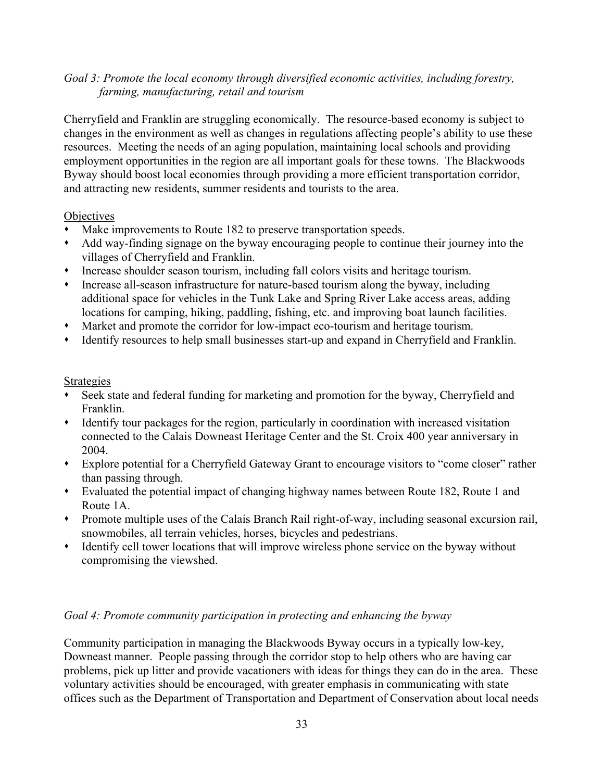### Goal 3: Promote the local economy through diversified economic activities, including forestry, farming, manufacturing, retail and tourism

Cherryfield and Franklin are struggling economically. The resource-based economy is subject to changes in the environment as well as changes in regulations affecting people's ability to use these resources. Meeting the needs of an aging population, maintaining local schools and providing employment opportunities in the region are all important goals for these towns. The Blackwoods Byway should boost local economies through providing a more efficient transportation corridor, and attracting new residents, summer residents and tourists to the area.

#### **Objectives**

- Make improvements to Route 182 to preserve transportation speeds.
- Add way-finding signage on the byway encouraging people to continue their journey into the villages of Cherryfield and Franklin.
- Increase shoulder season tourism, including fall colors visits and heritage tourism.
- Increase all-season infrastructure for nature-based tourism along the byway, including additional space for vehicles in the Tunk Lake and Spring River Lake access areas, adding locations for camping, hiking, paddling, fishing, etc. and improving boat launch facilities.
- Market and promote the corridor for low-impact eco-tourism and heritage tourism.
- Identify resources to help small businesses start-up and expand in Cherryfield and Franklin.

#### Strategies

- Seek state and federal funding for marketing and promotion for the byway, Cherryfield and Franklin.
- Identify tour packages for the region, particularly in coordination with increased visitation connected to the Calais Downeast Heritage Center and the St. Croix 400 year anniversary in 2004.
- Explore potential for a Cherryfield Gateway Grant to encourage visitors to "come closer" rather than passing through.
- Evaluated the potential impact of changing highway names between Route 182, Route 1 and Route 1A.
- Promote multiple uses of the Calais Branch Rail right-of-way, including seasonal excursion rail, snowmobiles, all terrain vehicles, horses, bicycles and pedestrians.
- Identify cell tower locations that will improve wireless phone service on the byway without compromising the viewshed.

### Goal 4: Promote community participation in protecting and enhancing the byway

Community participation in managing the Blackwoods Byway occurs in a typically low-key, Downeast manner. People passing through the corridor stop to help others who are having car problems, pick up litter and provide vacationers with ideas for things they can do in the area. These voluntary activities should be encouraged, with greater emphasis in communicating with state offices such as the Department of Transportation and Department of Conservation about local needs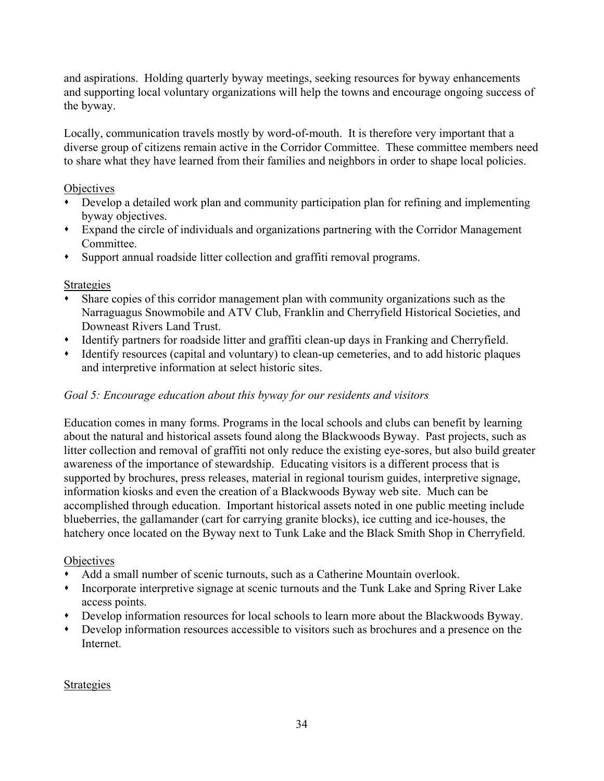and aspirations. Holding quarterly byway meetings, seeking resources for byway enhancements and supporting local voluntary organizations will help the towns and encourage ongoing success of the byway.

Locally, communication travels mostly by word-of-mouth. It is therefore very important that a diverse group of citizens remain active in the Corridor Committee. These committee members need to share what they have learned from their families and neighbors in order to shape local policies.

### Objectives

- Develop a detailed work plan and community participation plan for refining and implementing byway objectives.
- Expand the circle of individuals and organizations partnering with the Corridor Management Committee.
- Support annual roadside litter collection and graffiti removal programs.

### Strategies

- Share copies of this corridor management plan with community organizations such as the Narraguagus Snowmobile and ATV Club, Franklin and Cherryfield Historical Societies, and Downeast Rivers Land Trust.
- Identify partners for roadside litter and graffiti clean-up days in Franking and Cherryfield.
- Identify resources (capital and voluntary) to clean-up cemeteries, and to add historic plaques and interpretive information at select historic sites.

# Goal 5: Encourage education about this byway for our residents and visitors

Education comes in many forms. Programs in the local schools and clubs can benefit by learning about the natural and historical assets found along the Blackwoods Byway. Past projects, such as litter collection and removal of graffiti not only reduce the existing eye-sores, but also build greater awareness of the importance of stewardship. Educating visitors is a different process that is supported by brochures, press releases, material in regional tourism guides, interpretive signage, information kiosks and even the creation of a Blackwoods Byway web site. Much can be accomplished through education. Important historical assets noted in one public meeting include blueberries, the gallamander (cart for carrying granite blocks), ice cutting and ice-houses, the hatchery once located on the Byway next to Tunk Lake and the Black Smith Shop in Cherryfield.

### **Objectives**

- Add a small number of scenic turnouts, such as a Catherine Mountain overlook.
- Incorporate interpretive signage at scenic turnouts and the Tunk Lake and Spring River Lake access points.
- Develop information resources for local schools to learn more about the Blackwoods Byway.
- Develop information resources accessible to visitors such as brochures and a presence on the Internet.

### Strategies